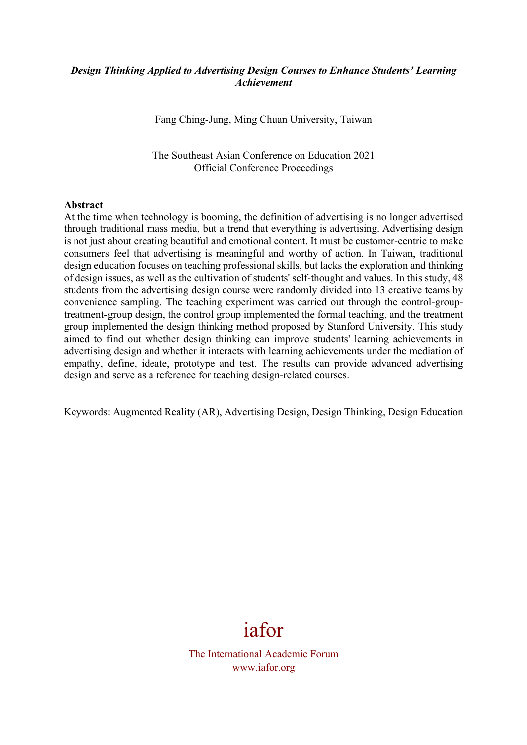## *Design Thinking Applied to Advertising Design Courses to Enhance Students' Learning Achievement*

Fang Ching-Jung, Ming Chuan University, Taiwan

The Southeast Asian Conference on Education 2021 Official Conference Proceedings

#### **Abstract**

At the time when technology is booming, the definition of advertising is no longer advertised through traditional mass media, but a trend that everything is advertising. Advertising design is not just about creating beautiful and emotional content. It must be customer-centric to make consumers feel that advertising is meaningful and worthy of action. In Taiwan, traditional design education focuses on teaching professional skills, but lacks the exploration and thinking of design issues, as well as the cultivation of students' self-thought and values. In this study, 48 students from the advertising design course were randomly divided into 13 creative teams by convenience sampling. The teaching experiment was carried out through the control-grouptreatment-group design, the control group implemented the formal teaching, and the treatment group implemented the design thinking method proposed by Stanford University. This study aimed to find out whether design thinking can improve students' learning achievements in advertising design and whether it interacts with learning achievements under the mediation of empathy, define, ideate, prototype and test. The results can provide advanced advertising design and serve as a reference for teaching design-related courses.

Keywords: Augmented Reality (AR), Advertising Design, Design Thinking, Design Education

# iafor

The International Academic Forum www.iafor.org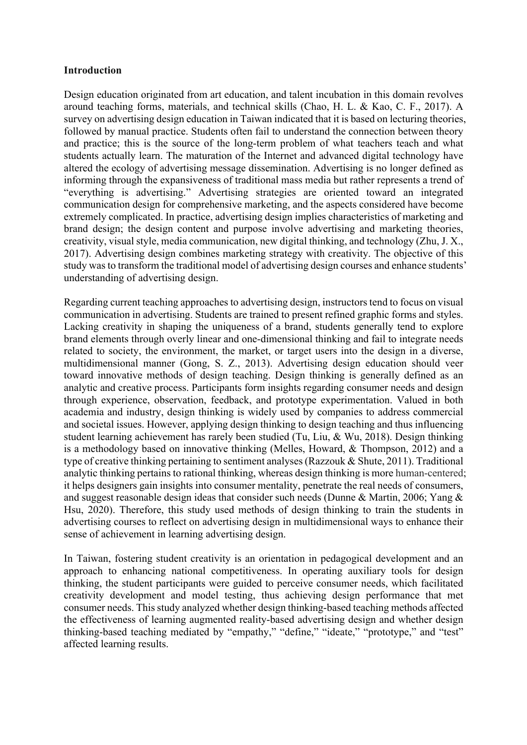#### **Introduction**

Design education originated from art education, and talent incubation in this domain revolves around teaching forms, materials, and technical skills (Chao, H. L. & Kao, C. F., 2017). A survey on advertising design education in Taiwan indicated that it is based on lecturing theories, followed by manual practice. Students often fail to understand the connection between theory and practice; this is the source of the long-term problem of what teachers teach and what students actually learn. The maturation of the Internet and advanced digital technology have altered the ecology of advertising message dissemination. Advertising is no longer defined as informing through the expansiveness of traditional mass media but rather represents a trend of "everything is advertising." Advertising strategies are oriented toward an integrated communication design for comprehensive marketing, and the aspects considered have become extremely complicated. In practice, advertising design implies characteristics of marketing and brand design; the design content and purpose involve advertising and marketing theories, creativity, visual style, media communication, new digital thinking, and technology (Zhu, J. X., 2017). Advertising design combines marketing strategy with creativity. The objective of this study was to transform the traditional model of advertising design courses and enhance students' understanding of advertising design.

Regarding current teaching approaches to advertising design, instructors tend to focus on visual communication in advertising. Students are trained to present refined graphic forms and styles. Lacking creativity in shaping the uniqueness of a brand, students generally tend to explore brand elements through overly linear and one-dimensional thinking and fail to integrate needs related to society, the environment, the market, or target users into the design in a diverse, multidimensional manner (Gong, S. Z., 2013). Advertising design education should veer toward innovative methods of design teaching. Design thinking is generally defined as an analytic and creative process. Participants form insights regarding consumer needs and design through experience, observation, feedback, and prototype experimentation. Valued in both academia and industry, design thinking is widely used by companies to address commercial and societal issues. However, applying design thinking to design teaching and thus influencing student learning achievement has rarely been studied (Tu, Liu, & Wu, 2018). Design thinking is a methodology based on innovative thinking (Melles, Howard, & Thompson, 2012) and a type of creative thinking pertaining to sentiment analyses (Razzouk & Shute, 2011). Traditional analytic thinking pertains to rational thinking, whereas design thinking is more human-centered; it helps designers gain insights into consumer mentality, penetrate the real needs of consumers, and suggest reasonable design ideas that consider such needs (Dunne & Martin, 2006; Yang & Hsu, 2020). Therefore, this study used methods of design thinking to train the students in advertising courses to reflect on advertising design in multidimensional ways to enhance their sense of achievement in learning advertising design.

In Taiwan, fostering student creativity is an orientation in pedagogical development and an approach to enhancing national competitiveness. In operating auxiliary tools for design thinking, the student participants were guided to perceive consumer needs, which facilitated creativity development and model testing, thus achieving design performance that met consumer needs. This study analyzed whether design thinking-based teaching methods affected the effectiveness of learning augmented reality-based advertising design and whether design thinking-based teaching mediated by "empathy," "define," "ideate," "prototype," and "test" affected learning results.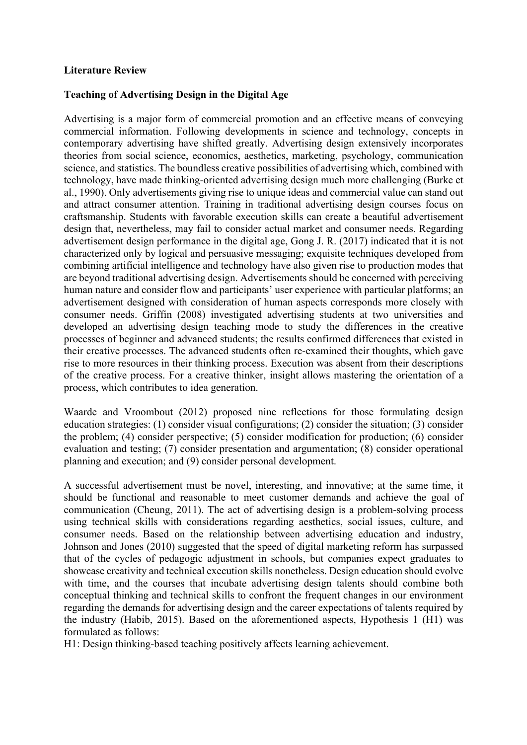### **Literature Review**

### **Teaching of Advertising Design in the Digital Age**

Advertising is a major form of commercial promotion and an effective means of conveying commercial information. Following developments in science and technology, concepts in contemporary advertising have shifted greatly. Advertising design extensively incorporates theories from social science, economics, aesthetics, marketing, psychology, communication science, and statistics. The boundless creative possibilities of advertising which, combined with technology, have made thinking-oriented advertising design much more challenging (Burke et al., 1990). Only advertisements giving rise to unique ideas and commercial value can stand out and attract consumer attention. Training in traditional advertising design courses focus on craftsmanship. Students with favorable execution skills can create a beautiful advertisement design that, nevertheless, may fail to consider actual market and consumer needs. Regarding advertisement design performance in the digital age, Gong J. R. (2017) indicated that it is not characterized only by logical and persuasive messaging; exquisite techniques developed from combining artificial intelligence and technology have also given rise to production modes that are beyond traditional advertising design. Advertisements should be concerned with perceiving human nature and consider flow and participants' user experience with particular platforms; an advertisement designed with consideration of human aspects corresponds more closely with consumer needs. Griffin (2008) investigated advertising students at two universities and developed an advertising design teaching mode to study the differences in the creative processes of beginner and advanced students; the results confirmed differences that existed in their creative processes. The advanced students often re-examined their thoughts, which gave rise to more resources in their thinking process. Execution was absent from their descriptions of the creative process. For a creative thinker, insight allows mastering the orientation of a process, which contributes to idea generation.

Waarde and Vroombout (2012) proposed nine reflections for those formulating design education strategies: (1) consider visual configurations; (2) consider the situation; (3) consider the problem; (4) consider perspective; (5) consider modification for production; (6) consider evaluation and testing; (7) consider presentation and argumentation; (8) consider operational planning and execution; and (9) consider personal development.

A successful advertisement must be novel, interesting, and innovative; at the same time, it should be functional and reasonable to meet customer demands and achieve the goal of communication (Cheung, 2011). The act of advertising design is a problem-solving process using technical skills with considerations regarding aesthetics, social issues, culture, and consumer needs. Based on the relationship between advertising education and industry, Johnson and Jones (2010) suggested that the speed of digital marketing reform has surpassed that of the cycles of pedagogic adjustment in schools, but companies expect graduates to showcase creativity and technical execution skills nonetheless. Design education should evolve with time, and the courses that incubate advertising design talents should combine both conceptual thinking and technical skills to confront the frequent changes in our environment regarding the demands for advertising design and the career expectations of talents required by the industry (Habib, 2015). Based on the aforementioned aspects, Hypothesis 1 (H1) was formulated as follows:

H1: Design thinking-based teaching positively affects learning achievement.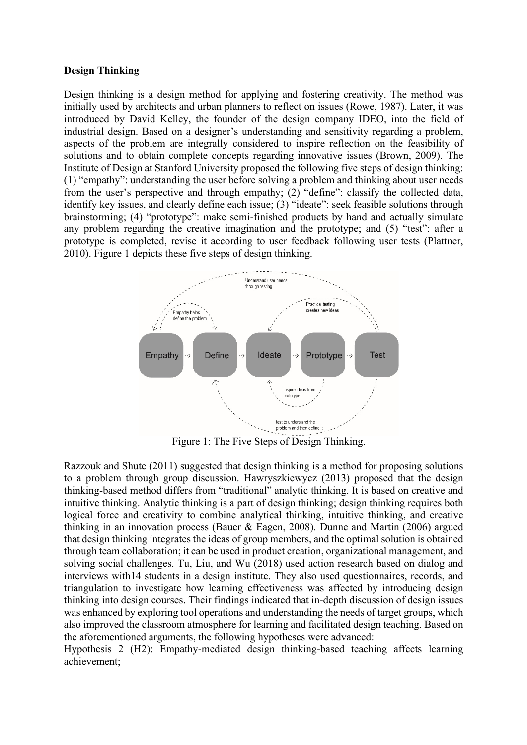#### **Design Thinking**

Design thinking is a design method for applying and fostering creativity. The method was initially used by architects and urban planners to reflect on issues (Rowe, 1987). Later, it was introduced by David Kelley, the founder of the design company IDEO, into the field of industrial design. Based on a designer's understanding and sensitivity regarding a problem, aspects of the problem are integrally considered to inspire reflection on the feasibility of solutions and to obtain complete concepts regarding innovative issues (Brown, 2009). The Institute of Design at Stanford University proposed the following five steps of design thinking: (1) "empathy": understanding the user before solving a problem and thinking about user needs from the user's perspective and through empathy; (2) "define": classify the collected data, identify key issues, and clearly define each issue; (3) "ideate": seek feasible solutions through brainstorming; (4) "prototype": make semi-finished products by hand and actually simulate any problem regarding the creative imagination and the prototype; and (5) "test": after a prototype is completed, revise it according to user feedback following user tests (Plattner, 2010). Figure 1 depicts these five steps of design thinking.



Figure 1: The Five Steps of Design Thinking.

Razzouk and Shute (2011) suggested that design thinking is a method for proposing solutions to a problem through group discussion. Hawryszkiewycz (2013) proposed that the design thinking-based method differs from "traditional" analytic thinking. It is based on creative and intuitive thinking. Analytic thinking is a part of design thinking; design thinking requires both logical force and creativity to combine analytical thinking, intuitive thinking, and creative thinking in an innovation process (Bauer & Eagen, 2008). Dunne and Martin (2006) argued that design thinking integrates the ideas of group members, and the optimal solution is obtained through team collaboration; it can be used in product creation, organizational management, and solving social challenges. Tu, Liu, and Wu (2018) used action research based on dialog and interviews with14 students in a design institute. They also used questionnaires, records, and triangulation to investigate how learning effectiveness was affected by introducing design thinking into design courses. Their findings indicated that in-depth discussion of design issues was enhanced by exploring tool operations and understanding the needs of target groups, which also improved the classroom atmosphere for learning and facilitated design teaching. Based on the aforementioned arguments, the following hypotheses were advanced:

Hypothesis 2 (H2): Empathy-mediated design thinking-based teaching affects learning achievement;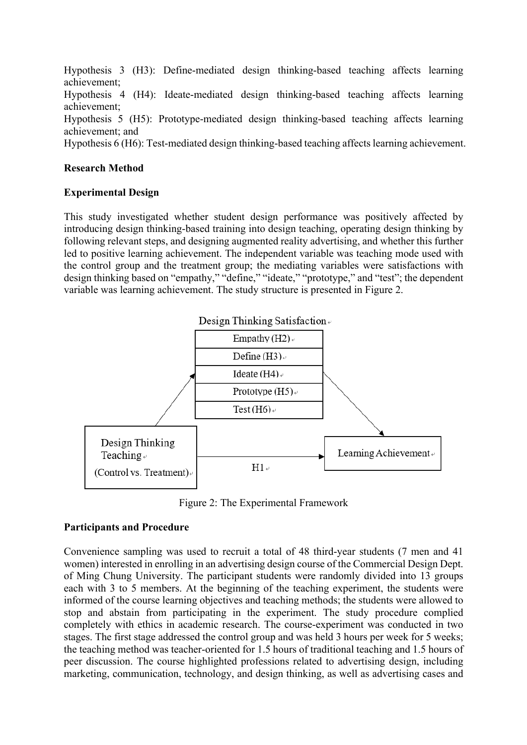Hypothesis 3 (H3): Define-mediated design thinking-based teaching affects learning achievement; Hypothesis 4 (H4): Ideate-mediated design thinking-based teaching affects learning achievement; Hypothesis 5 (H5): Prototype-mediated design thinking-based teaching affects learning achievement; and

Hypothesis 6 (H6): Test-mediated design thinking-based teaching affects learning achievement.

### **Research Method**

### **Experimental Design**

This study investigated whether student design performance was positively affected by introducing design thinking-based training into design teaching, operating design thinking by following relevant steps, and designing augmented reality advertising, and whether this further led to positive learning achievement. The independent variable was teaching mode used with the control group and the treatment group; the mediating variables were satisfactions with design thinking based on "empathy," "define," "ideate," "prototype," and "test"; the dependent variable was learning achievement. The study structure is presented in Figure 2.



Figure 2: The Experimental Framework

## **Participants and Procedure**

Convenience sampling was used to recruit a total of 48 third-year students (7 men and 41 women) interested in enrolling in an advertising design course of the Commercial Design Dept. of Ming Chung University. The participant students were randomly divided into 13 groups each with 3 to 5 members. At the beginning of the teaching experiment, the students were informed of the course learning objectives and teaching methods; the students were allowed to stop and abstain from participating in the experiment. The study procedure complied completely with ethics in academic research. The course-experiment was conducted in two stages. The first stage addressed the control group and was held 3 hours per week for 5 weeks; the teaching method was teacher-oriented for 1.5 hours of traditional teaching and 1.5 hours of peer discussion. The course highlighted professions related to advertising design, including marketing, communication, technology, and design thinking, as well as advertising cases and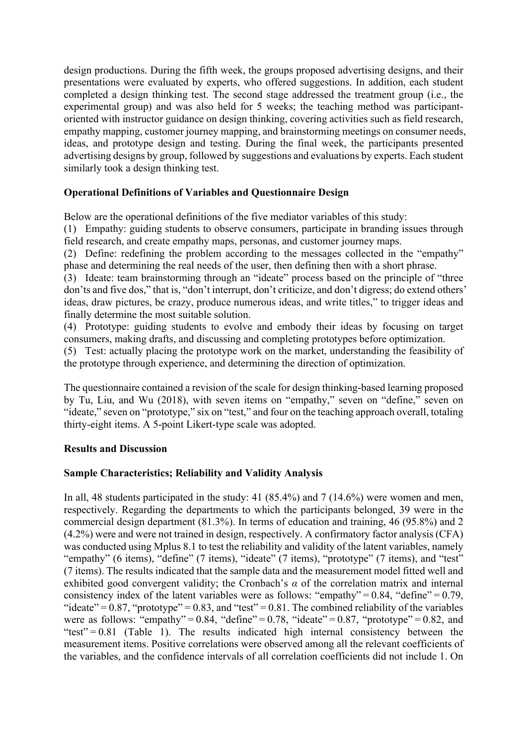design productions. During the fifth week, the groups proposed advertising designs, and their presentations were evaluated by experts, who offered suggestions. In addition, each student completed a design thinking test. The second stage addressed the treatment group (i.e., the experimental group) and was also held for 5 weeks; the teaching method was participantoriented with instructor guidance on design thinking, covering activities such as field research, empathy mapping, customer journey mapping, and brainstorming meetings on consumer needs, ideas, and prototype design and testing. During the final week, the participants presented advertising designs by group, followed by suggestions and evaluations by experts. Each student similarly took a design thinking test.

## **Operational Definitions of Variables and Questionnaire Design**

Below are the operational definitions of the five mediator variables of this study:

(1) Empathy: guiding students to observe consumers, participate in branding issues through field research, and create empathy maps, personas, and customer journey maps.

(2) Define: redefining the problem according to the messages collected in the "empathy" phase and determining the real needs of the user, then defining then with a short phrase.

(3) Ideate: team brainstorming through an "ideate" process based on the principle of "three don'ts and five dos," that is, "don't interrupt, don't criticize, and don't digress; do extend others' ideas, draw pictures, be crazy, produce numerous ideas, and write titles," to trigger ideas and finally determine the most suitable solution.

(4) Prototype: guiding students to evolve and embody their ideas by focusing on target consumers, making drafts, and discussing and completing prototypes before optimization.

(5) Test: actually placing the prototype work on the market, understanding the feasibility of the prototype through experience, and determining the direction of optimization.

The questionnaire contained a revision of the scale for design thinking-based learning proposed by Tu, Liu, and Wu (2018), with seven items on "empathy," seven on "define," seven on "ideate," seven on "prototype," six on "test," and four on the teaching approach overall, totaling thirty-eight items. A 5-point Likert-type scale was adopted.

## **Results and Discussion**

## **Sample Characteristics; Reliability and Validity Analysis**

In all, 48 students participated in the study: 41 (85.4%) and 7 (14.6%) were women and men, respectively. Regarding the departments to which the participants belonged, 39 were in the commercial design department (81.3%). In terms of education and training, 46 (95.8%) and 2 (4.2%) were and were not trained in design, respectively. A confirmatory factor analysis (CFA) was conducted using Mplus 8.1 to test the reliability and validity of the latent variables, namely "empathy" (6 items), "define" (7 items), "ideate" (7 items), "prototype" (7 items), and "test" (7 items). The results indicated that the sample data and the measurement model fitted well and exhibited good convergent validity; the Cronbach's *α* of the correlation matrix and internal consistency index of the latent variables were as follows: "empathy" =  $0.84$ , "define" =  $0.79$ , "ideate" =  $0.87$ , "prototype" =  $0.83$ , and "test" =  $0.81$ . The combined reliability of the variables were as follows: "empathy" =  $0.84$ , "define" =  $0.78$ , "ideate" =  $0.87$ , "prototype" =  $0.82$ , and "test" =  $0.81$  (Table 1). The results indicated high internal consistency between the measurement items. Positive correlations were observed among all the relevant coefficients of the variables, and the confidence intervals of all correlation coefficients did not include 1. On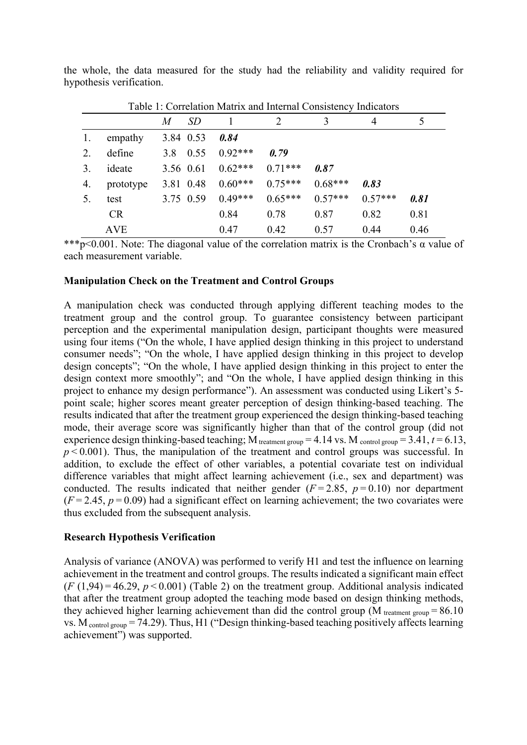| Table 1: Correlation Matrix and Internal Consistency Indicators |            |     |           |           |           |           |           |      |  |  |  |
|-----------------------------------------------------------------|------------|-----|-----------|-----------|-----------|-----------|-----------|------|--|--|--|
|                                                                 |            | M   | SD        |           |           | 3         | 4         |      |  |  |  |
|                                                                 | empathy    |     | 3.84 0.53 | 0.84      |           |           |           |      |  |  |  |
| 2.                                                              | define     | 3.8 | 0.55      | $0.92***$ | 0.79      |           |           |      |  |  |  |
| 3.                                                              | ideate     |     | 3.56 0.61 | $0.62***$ | $0.71***$ | 0.87      |           |      |  |  |  |
| 4.                                                              | prototype  |     | 3.81 0.48 | $0.60***$ | $0.75***$ | $0.68***$ | 0.83      |      |  |  |  |
| 5.                                                              | test       |     | 3.75 0.59 | $0.49***$ | $0.65***$ | $0.57***$ | $0.57***$ | 0.81 |  |  |  |
|                                                                 | CR         |     |           | 0.84      | 0.78      | 0.87      | 0.82      | 0.81 |  |  |  |
|                                                                 | <b>AVE</b> |     |           | 0.47      | 0.42      | 0.57      | 0.44      | 0.46 |  |  |  |

the whole, the data measured for the study had the reliability and validity required for hypothesis verification.

\*\*\*p<0.001. Note: The diagonal value of the correlation matrix is the Cronbach's  $\alpha$  value of each measurement variable.

#### **Manipulation Check on the Treatment and Control Groups**

A manipulation check was conducted through applying different teaching modes to the treatment group and the control group. To guarantee consistency between participant perception and the experimental manipulation design, participant thoughts were measured using four items ("On the whole, I have applied design thinking in this project to understand consumer needs"; "On the whole, I have applied design thinking in this project to develop design concepts"; "On the whole, I have applied design thinking in this project to enter the design context more smoothly"; and "On the whole, I have applied design thinking in this project to enhance my design performance"). An assessment was conducted using Likert's 5 point scale; higher scores meant greater perception of design thinking-based teaching. The results indicated that after the treatment group experienced the design thinking-based teaching mode, their average score was significantly higher than that of the control group (did not experience design thinking-based teaching; M<sub>treatment group</sub> = 4.14 vs. M control group = 3.41,  $t = 6.13$ ,  $p < 0.001$ ). Thus, the manipulation of the treatment and control groups was successful. In addition, to exclude the effect of other variables, a potential covariate test on individual difference variables that might affect learning achievement (i.e., sex and department) was conducted. The results indicated that neither gender  $(F = 2.85, p = 0.10)$  nor department  $(F = 2.45, p = 0.09)$  had a significant effect on learning achievement; the two covariates were thus excluded from the subsequent analysis.

#### **Research Hypothesis Verification**

Analysis of variance (ANOVA) was performed to verify H1 and test the influence on learning achievement in the treatment and control groups. The results indicated a significant main effect  $(F(1,94) = 46.29, p < 0.001)$  (Table 2) on the treatment group. Additional analysis indicated that after the treatment group adopted the teaching mode based on design thinking methods, they achieved higher learning achievement than did the control group (M  $_{treatment\ group} = 86.10$ vs.  $M_{control group} = 74.29$ ). Thus, H1 ("Design thinking-based teaching positively affects learning achievement") was supported.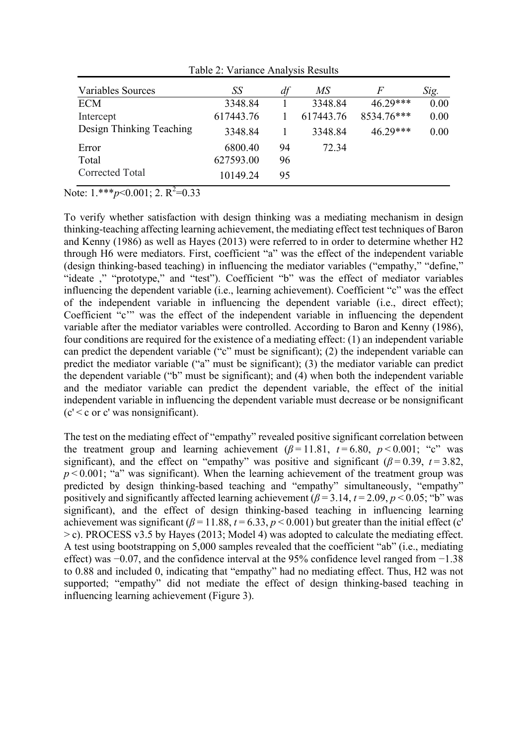| Variables Sources        | SS        | df | MS        | F          | Sig. |
|--------------------------|-----------|----|-----------|------------|------|
| <b>ECM</b>               | 3348.84   |    | 3348.84   | 46.29***   | 0.00 |
| Intercept                | 617443.76 |    | 617443.76 | 8534.76*** | 0.00 |
| Design Thinking Teaching | 3348.84   |    | 3348.84   | 46 29***   | 0.00 |
| Error                    | 6800.40   | 94 | 72.34     |            |      |
| Total                    | 627593.00 | 96 |           |            |      |
| Corrected Total          | 10149.24  | 95 |           |            |      |

Table 2: Variance Analysis Results

Note: 1.\*\*\**p*<0.001; 2. R<sup>2</sup>=0.33

To verify whether satisfaction with design thinking was a mediating mechanism in design thinking-teaching affecting learning achievement, the mediating effect test techniques of Baron and Kenny (1986) as well as Hayes (2013) were referred to in order to determine whether H2 through H6 were mediators. First, coefficient "a" was the effect of the independent variable (design thinking-based teaching) in influencing the mediator variables ("empathy," "define," "ideate ," "prototype," and "test"). Coefficient "b" was the effect of mediator variables influencing the dependent variable (i.e., learning achievement). Coefficient "c" was the effect of the independent variable in influencing the dependent variable (i.e., direct effect); Coefficient "c'" was the effect of the independent variable in influencing the dependent variable after the mediator variables were controlled. According to Baron and Kenny (1986), four conditions are required for the existence of a mediating effect: (1) an independent variable can predict the dependent variable ("c" must be significant); (2) the independent variable can predict the mediator variable ("a" must be significant); (3) the mediator variable can predict the dependent variable ("b" must be significant); and (4) when both the independent variable and the mediator variable can predict the dependent variable, the effect of the initial independent variable in influencing the dependent variable must decrease or be nonsignificant  $(c' < c$  or c' was nonsignificant).

The test on the mediating effect of "empathy" revealed positive significant correlation between the treatment group and learning achievement  $(\beta = 11.81, t = 6.80, p < 0.001;$  "c" was significant), and the effect on "empathy" was positive and significant ( $\beta$ =0.39, *t*=3.82,  $p < 0.001$ ; "a" was significant). When the learning achievement of the treatment group was predicted by design thinking-based teaching and "empathy" simultaneously, "empathy" positively and significantly affected learning achievement  $(\beta = 3.14, t = 2.09, p < 0.05;$  "b" was significant), and the effect of design thinking-based teaching in influencing learning achievement was significant ( $\beta$  = 11.88,  $t$  = 6.33,  $p$  < 0.001) but greater than the initial effect (c' > c). PROCESS v3.5 by Hayes (2013; Model 4) was adopted to calculate the mediating effect. A test using bootstrapping on 5,000 samples revealed that the coefficient "ab" (i.e., mediating effect) was −0.07, and the confidence interval at the 95% confidence level ranged from −1.38 to 0.88 and included 0, indicating that "empathy" had no mediating effect. Thus, H2 was not supported; "empathy" did not mediate the effect of design thinking-based teaching in influencing learning achievement (Figure 3).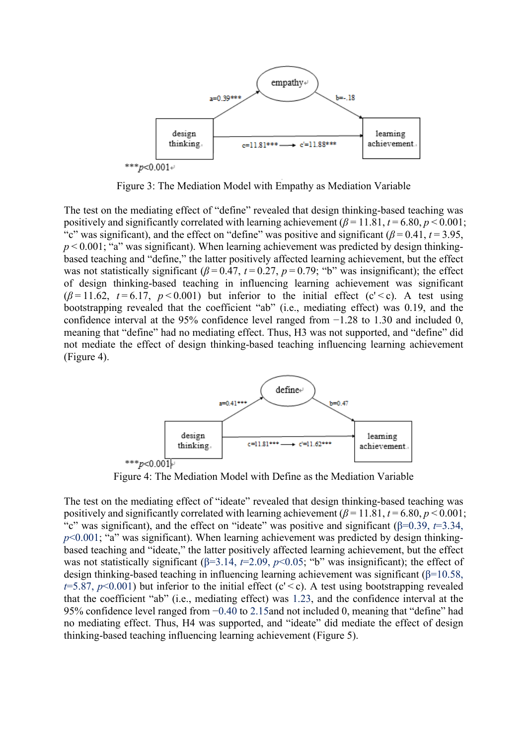

Figure 3: The Mediation Model with Empathy as Mediation Variable

The test on the mediating effect of "define" revealed that design thinking-based teaching was positively and significantly correlated with learning achievement  $(\beta = 11.81, t = 6.80, p < 0.001;$ "c" was significant), and the effect on "define" was positive and significant ( $\beta$  = 0.41, *t* = 3.95,  $p < 0.001$ ; "a" was significant). When learning achievement was predicted by design thinkingbased teaching and "define," the latter positively affected learning achievement, but the effect was not statistically significant ( $\beta$ =0.47,  $t$ =0.27,  $p$ =0.79; "b" was insignificant); the effect of design thinking-based teaching in influencing learning achievement was significant  $(\beta = 11.62, t = 6.17, p < 0.001)$  but inferior to the initial effect (c' < c). A test using bootstrapping revealed that the coefficient "ab" (i.e., mediating effect) was 0.19, and the confidence interval at the 95% confidence level ranged from −1.28 to 1.30 and included 0, meaning that "define" had no mediating effect. Thus, H3 was not supported, and "define" did not mediate the effect of design thinking-based teaching influencing learning achievement (Figure 4).



Figure 4: The Mediation Model with Define as the Mediation Variable

The test on the mediating effect of "ideate" revealed that design thinking-based teaching was positively and significantly correlated with learning achievement  $(\beta = 11.81, t = 6.80, p < 0.001)$ ; "c" was significant), and the effect on "ideate" was positive and significant (β=0.39, *t*=3.34,  $p<0.001$ ; "a" was significant). When learning achievement was predicted by design thinkingbased teaching and "ideate," the latter positively affected learning achievement, but the effect was not statistically significant (β=3.14, *t*=2.09, *p*<0.05; "b" was insignificant); the effect of design thinking-based teaching in influencing learning achievement was significant (β=10.58,  $t=5.87$ ,  $p<0.001$ ) but inferior to the initial effect (c' < c). A test using bootstrapping revealed that the coefficient "ab" (i.e., mediating effect) was 1.23, and the confidence interval at the 95% confidence level ranged from −0.40 to 2.15and not included 0, meaning that "define" had no mediating effect. Thus, H4 was supported, and "ideate" did mediate the effect of design thinking-based teaching influencing learning achievement (Figure 5).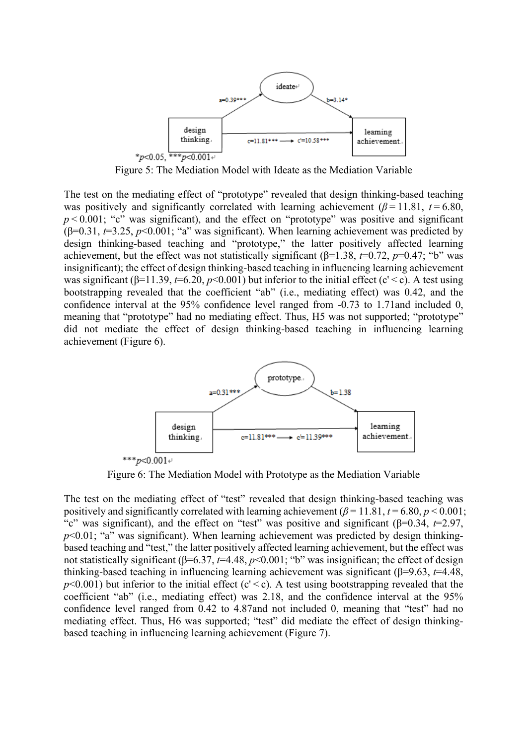

Figure 5: The Mediation Model with Ideate as the Mediation Variable

The test on the mediating effect of "prototype" revealed that design thinking-based teaching was positively and significantly correlated with learning achievement ( $\beta$ =11.81,  $t$  = 6.80,  $p$  < 0.001; "c" was significant), and the effect on "prototype" was positive and significant (β=0.31, *t*=3.25, *p*<0.001; "a" was significant). When learning achievement was predicted by design thinking-based teaching and "prototype," the latter positively affected learning achievement, but the effect was not statistically significant ( $\beta$ =1.38,  $t$ =0.72,  $p$ =0.47; "b" was insignificant); the effect of design thinking-based teaching in influencing learning achievement was significant ( $\beta$ =11.39,  $t$ =6.20,  $p$ <0.001) but inferior to the initial effect (c' < c). A test using bootstrapping revealed that the coefficient "ab" (i.e., mediating effect) was 0.42, and the confidence interval at the 95% confidence level ranged from -0.73 to 1.71and included 0, meaning that "prototype" had no mediating effect. Thus, H5 was not supported; "prototype" did not mediate the effect of design thinking-based teaching in influencing learning achievement (Figure 6).



Figure 6: The Mediation Model with Prototype as the Mediation Variable

The test on the mediating effect of "test" revealed that design thinking-based teaching was positively and significantly correlated with learning achievement  $(\beta = 11.81, t = 6.80, p < 0.001)$ ; "c" was significant), and the effect on "test" was positive and significant (β=0.34, *t*=2.97,  $p<0.01$ ; "a" was significant). When learning achievement was predicted by design thinkingbased teaching and "test," the latter positively affected learning achievement, but the effect was not statistically significant (β=6.37, *t*=4.48, *p*<0.001; "b" was insignifican; the effect of design thinking-based teaching in influencing learning achievement was significant (β=9.63, *t*=4.48,  $p<0.001$ ) but inferior to the initial effect (c' < c). A test using bootstrapping revealed that the coefficient "ab" (i.e., mediating effect) was 2.18, and the confidence interval at the 95% confidence level ranged from 0.42 to 4.87and not included 0, meaning that "test" had no mediating effect. Thus, H6 was supported; "test" did mediate the effect of design thinkingbased teaching in influencing learning achievement (Figure 7).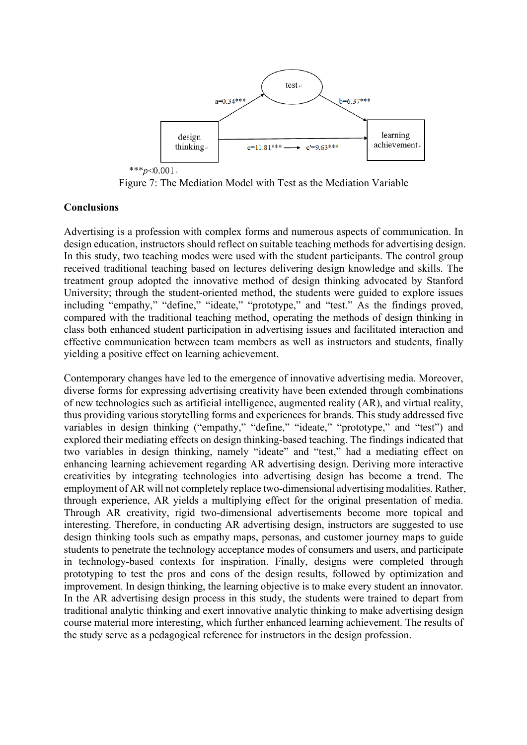

Figure 7: The Mediation Model with Test as the Mediation Variable

### **Conclusions**

Advertising is a profession with complex forms and numerous aspects of communication. In design education, instructors should reflect on suitable teaching methods for advertising design. In this study, two teaching modes were used with the student participants. The control group received traditional teaching based on lectures delivering design knowledge and skills. The treatment group adopted the innovative method of design thinking advocated by Stanford University; through the student-oriented method, the students were guided to explore issues including "empathy," "define," "ideate," "prototype," and "test." As the findings proved, compared with the traditional teaching method, operating the methods of design thinking in class both enhanced student participation in advertising issues and facilitated interaction and effective communication between team members as well as instructors and students, finally yielding a positive effect on learning achievement.

Contemporary changes have led to the emergence of innovative advertising media. Moreover, diverse forms for expressing advertising creativity have been extended through combinations of new technologies such as artificial intelligence, augmented reality (AR), and virtual reality, thus providing various storytelling forms and experiences for brands. This study addressed five variables in design thinking ("empathy," "define," "ideate," "prototype," and "test") and explored their mediating effects on design thinking-based teaching. The findings indicated that two variables in design thinking, namely "ideate" and "test," had a mediating effect on enhancing learning achievement regarding AR advertising design. Deriving more interactive creativities by integrating technologies into advertising design has become a trend. The employment of AR will not completely replace two-dimensional advertising modalities. Rather, through experience, AR yields a multiplying effect for the original presentation of media. Through AR creativity, rigid two-dimensional advertisements become more topical and interesting. Therefore, in conducting AR advertising design, instructors are suggested to use design thinking tools such as empathy maps, personas, and customer journey maps to guide students to penetrate the technology acceptance modes of consumers and users, and participate in technology-based contexts for inspiration. Finally, designs were completed through prototyping to test the pros and cons of the design results, followed by optimization and improvement. In design thinking, the learning objective is to make every student an innovator. In the AR advertising design process in this study, the students were trained to depart from traditional analytic thinking and exert innovative analytic thinking to make advertising design course material more interesting, which further enhanced learning achievement. The results of the study serve as a pedagogical reference for instructors in the design profession.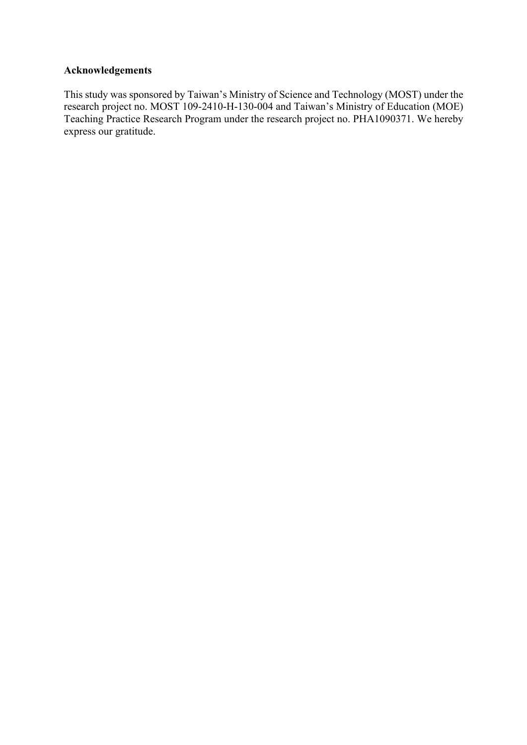## **Acknowledgements**

This study was sponsored by Taiwan's Ministry of Science and Technology (MOST) under the research project no. MOST 109-2410-H-130-004 and Taiwan's Ministry of Education (MOE) Teaching Practice Research Program under the research project no. PHA1090371. We hereby express our gratitude.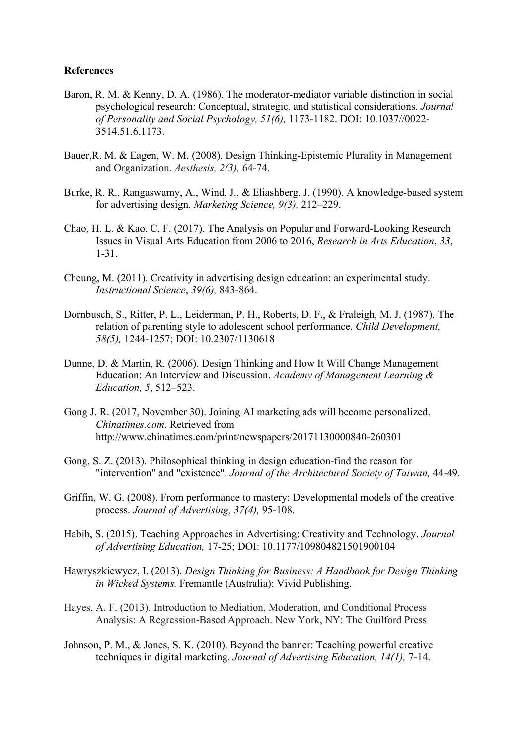#### **References**

- Baron, R. M. & Kenny, D. A. (1986). The moderator-mediator variable distinction in social psychological research: Conceptual, strategic, and statistical considerations. *Journal of Personality and Social Psychology, 51(6),* 1173-1182. DOI: 10.1037//0022- 3514.51.6.1173.
- Bauer,R. M. & Eagen, W. M. (2008). Design Thinking-Epistemic Plurality in Management and Organization. *Aesthesis, 2(3),* 64-74.
- Burke, R. R., Rangaswamy, A., Wind, J., & Eliashberg, J. (1990). A knowledge-based system for advertising design. *Marketing Science, 9(3),* 212–229.
- Chao, H. L. & Kao, C. F. (2017). The Analysis on Popular and Forward-Looking Research Issues in Visual Arts Education from 2006 to 2016, *Research in Arts Education*, *33*, 1-31.
- Cheung, M. (2011). Creativity in advertising design education: an experimental study. *Instructional Science*, *39(6),* 843-864.
- Dornbusch, S., Ritter, P. L., Leiderman, P. H., Roberts, D. F., & Fraleigh, M. J. (1987). The relation of parenting style to adolescent school performance. *Child Development, 58(5),* 1244-1257; DOI: 10.2307/1130618
- Dunne, D. & Martin, R. (2006). Design Thinking and How It Will Change Management Education: An Interview and Discussion. *Academy of Management Learning & Education, 5*, 512–523.
- Gong J. R. (2017, November 30). Joining AI marketing ads will become personalized. *Chinatimes.com*. Retrieved from http://www.chinatimes.com/print/newspapers/20171130000840-260301
- Gong, S. Z. (2013). Philosophical thinking in design education-find the reason for "intervention" and "existence". *Journal of the Architectural Society of Taiwan,* 44-49.
- Griffin, W. G. (2008). From performance to mastery: Developmental models of the creative process. *Journal of Advertising, 37(4),* 95-108.
- Habib, S. (2015). Teaching Approaches in Advertising: Creativity and Technology. *Journal of Advertising Education,* 17-25; DOI: 10.1177/109804821501900104
- Hawryszkiewycz, I. (2013). *Design Thinking for Business: A Handbook for Design Thinking in Wicked Systems.* Fremantle (Australia): Vivid Publishing.
- Hayes, A. F. (2013). Introduction to Mediation, Moderation, and Conditional Process Analysis: A Regression-Based Approach. New York, NY: The Guilford Press
- Johnson, P. M., & Jones, S. K. (2010). Beyond the banner: Teaching powerful creative techniques in digital marketing. *Journal of Advertising Education, 14(1),* 7-14.